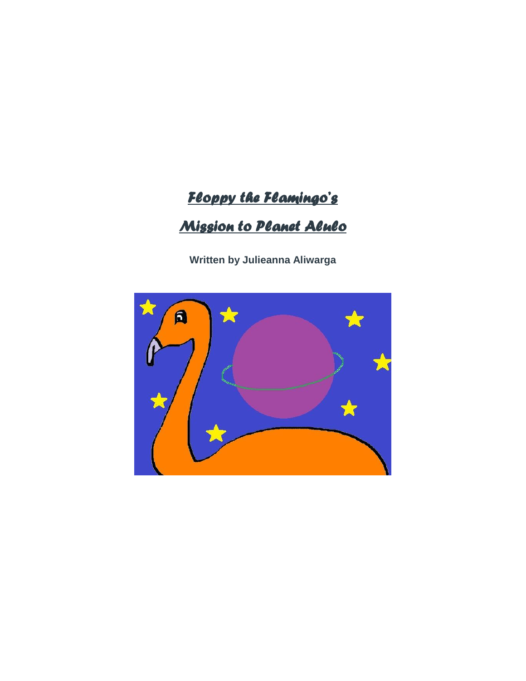## *Floppy the Flamingo's*

## *Mission to Planet Alulo*

**Written by Julieanna Aliwarga**

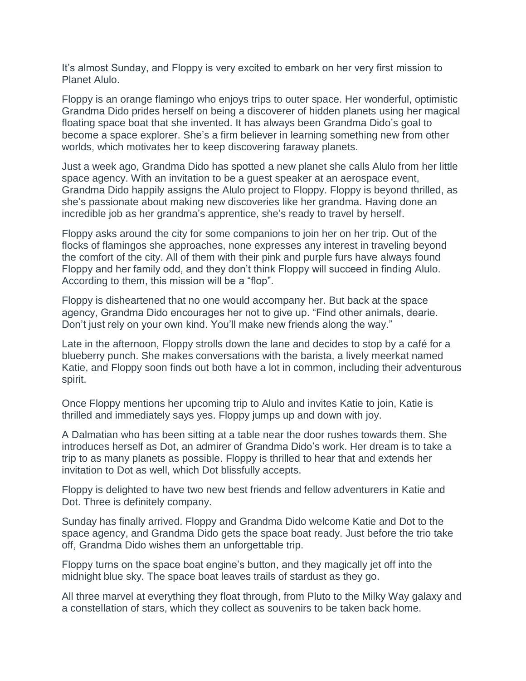It's almost Sunday, and Floppy is very excited to embark on her very first mission to Planet Alulo.

Floppy is an orange flamingo who enjoys trips to outer space. Her wonderful, optimistic Grandma Dido prides herself on being a discoverer of hidden planets using her magical floating space boat that she invented. It has always been Grandma Dido's goal to become a space explorer. She's a firm believer in learning something new from other worlds, which motivates her to keep discovering faraway planets.

Just a week ago, Grandma Dido has spotted a new planet she calls Alulo from her little space agency. With an invitation to be a guest speaker at an aerospace event, Grandma Dido happily assigns the Alulo project to Floppy. Floppy is beyond thrilled, as she's passionate about making new discoveries like her grandma. Having done an incredible job as her grandma's apprentice, she's ready to travel by herself.

Floppy asks around the city for some companions to join her on her trip. Out of the flocks of flamingos she approaches, none expresses any interest in traveling beyond the comfort of the city. All of them with their pink and purple furs have always found Floppy and her family odd, and they don't think Floppy will succeed in finding Alulo. According to them, this mission will be a "flop".

Floppy is disheartened that no one would accompany her. But back at the space agency, Grandma Dido encourages her not to give up. "Find other animals, dearie. Don't just rely on your own kind. You'll make new friends along the way."

Late in the afternoon, Floppy strolls down the lane and decides to stop by a café for a blueberry punch. She makes conversations with the barista, a lively meerkat named Katie, and Floppy soon finds out both have a lot in common, including their adventurous spirit.

Once Floppy mentions her upcoming trip to Alulo and invites Katie to join, Katie is thrilled and immediately says yes. Floppy jumps up and down with joy.

A Dalmatian who has been sitting at a table near the door rushes towards them. She introduces herself as Dot, an admirer of Grandma Dido's work. Her dream is to take a trip to as many planets as possible. Floppy is thrilled to hear that and extends her invitation to Dot as well, which Dot blissfully accepts.

Floppy is delighted to have two new best friends and fellow adventurers in Katie and Dot. Three is definitely company.

Sunday has finally arrived. Floppy and Grandma Dido welcome Katie and Dot to the space agency, and Grandma Dido gets the space boat ready. Just before the trio take off, Grandma Dido wishes them an unforgettable trip.

Floppy turns on the space boat engine's button, and they magically jet off into the midnight blue sky. The space boat leaves trails of stardust as they go.

All three marvel at everything they float through, from Pluto to the Milky Way galaxy and a constellation of stars, which they collect as souvenirs to be taken back home.